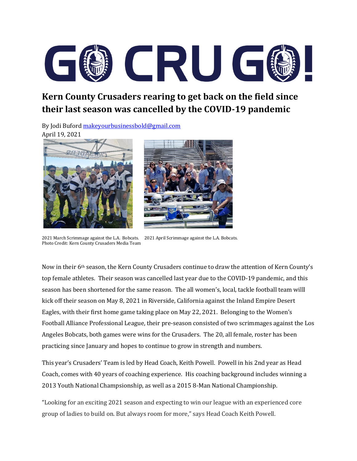

## **Kern County Crusaders rearing to get back on the field since their last season was cancelled by the COVID-19 pandemic**

By Jodi Bufor[d makeyourbusinessbold@gmail.com](mailto:makeyourbusinessbold@gmail.com) April 19, 2021





2021 March Scrimmage against the L.A. Bobcats. 2021 April Scrimmage against the L.A. Bobcats. Photo Credit: Kern County Crusaders Media Team

Now in their 6<sup>th</sup> season, the Kern County Crusaders continue to draw the attention of Kern County's top female athletes. Their season was cancelled last year due to the COVID-19 pandemic, and this season has been shortened for the same reason. The all women's, local, tackle football team willl kick off their season on May 8, 2021 in Riverside, California against the Inland Empire Desert Eagles, with their first home game taking place on May 22, 2021. Belonging to the Women's Football Alliance Professional League, their pre-season consisted of two scrimmages against the Los Angeles Bobcats, both games were wins for the Crusaders. The 20, all female, roster has been practicing since January and hopes to continue to grow in strength and numbers.

This year's Crusaders' Team is led by Head Coach, Keith Powell. Powell in his 2nd year as Head Coach, comes with 40 years of coaching experience. His coaching background includes winning a 2013 Youth National Champsionship, as well as a 2015 8-Man National Championship.

"Looking for an exciting 2021 season and expecting to win our league with an experienced core group of ladies to build on. But always room for more," says Head Coach Keith Powell.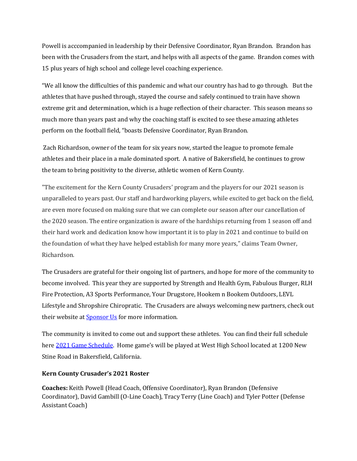Powell is acccompanied in leadership by their Defensive Coordinator, Ryan Brandon. Brandon has been with the Crusaders from the start, and helps with all aspects of the game. Brandon comes with 15 plus years of high school and college level coaching experience.

"We all know the difficulties of this pandemic and what our country has had to go through. But the athletes that have pushed through, stayed the course and safely continued to train have shown extreme grit and determination, which is a huge reflection of their character. This season means so much more than years past and why the coaching staff is excited to see these amazing athletes perform on the football field, "boasts Defensive Coordinator, Ryan Brandon.

Zach Richardson, owner of the team for six years now, started the league to promote female athletes and their place in a male dominated sport. A native of Bakersfield, he continues to grow the team to bring positivity to the diverse, athletic women of Kern County.

"The excitement for the Kern County Crusaders' program and the players for our 2021 season is unparalleled to years past. Our staff and hardworking players, while excited to get back on the field, are even more focused on making sure that we can complete our season after our cancellation of the 2020 season. The entire organization is aware of the hardships returning from 1 season off and their hard work and dedication know how important it is to play in 2021 and continue to build on the foundation of what they have helped establish for many more years," claims Team Owner, Richardson.

The Crusaders are grateful for their ongoing list of partners, and hope for more of the community to become involved. This year they are supported by Strength and Health Gym, Fabulous Burger, RLH Fire Protection, A3 Sports Performance, Your Drugstore, Hookem n Bookem Outdoors, LEVL Lifestyle and Shropshire Chiropratic. The Crusaders are always welcoming new partners, check out their website at **Sponsor Us** for more information.

The community is invited to come out and support these athletes. You can find their full schedule here [2021 Game Schedule.](https://www.kerncrusaders.com/) Home game's will be played at West High School located at 1200 New Stine Road in Bakersfield, California.

## **Kern County Crusader's 2021 Roster**

**Coaches:** Keith Powell (Head Coach, Offensive Coordinator), Ryan Brandon (Defensive Coordinator), David Gambill (O-Line Coach), Tracy Terry (Line Coach) and Tyler Potter (Defense Assistant Coach)